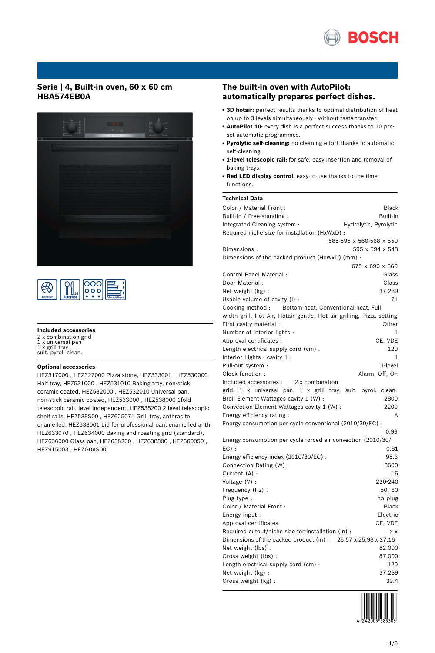

## **Serie | 4, Built-in oven, 60 x 60 cm HBA574EB0A**





## **Included accessories**

2 x combination grid 1 x universal pan 1 x grill tray suit. pyrol. clean.

#### **Optional accessories**

HEZ317000 , HEZ327000 Pizza stone, HEZ333001 , HEZ530000 Half tray, HEZ531000 , HEZ531010 Baking tray, non-stick ceramic coated, HEZ532000 , HEZ532010 Universal pan, non-stick ceramic coated, HEZ533000 , HEZ538000 1fold telescopic rail, level independent, HEZ538200 2 level telescopic shelf rails, HEZ538S00 , HEZ625071 Grill tray, anthracite enamelled, HEZ633001 Lid for professional pan, enamelled anth, HEZ633070 , HEZ634000 Baking and roasting grid (standard), HEZ636000 Glass pan, HEZ638200 , HEZ638300 , HEZ660050 , HEZ915003 , HEZG0AS00

## **The built-in oven with AutoPilot: automatically prepares perfect dishes.**

- **3D hotair:** perfect results thanks to optimal distribution of heat on up to 3 levels simultaneously - without taste transfer.
- **AutoPilot 10:** every dish is a perfect success thanks to 10 preset automatic programmes.
- **Pyrolytic self-cleaning:** no cleaning effort thanks to automatic self-cleaning.
- **1-level telescopic rail:** for safe, easy insertion and removal of baking trays.
- **Red LED display control:** easy-to-use thanks to the time functions.

## **Technical Data**

| Color / Material Front :                                                  | Black                   |
|---------------------------------------------------------------------------|-------------------------|
| Built-in / Free-standing :                                                | Built-in                |
| Integrated Cleaning system :                                              | Hydrolytic, Pyrolytic   |
| Required niche size for installation (HxWxD) :                            |                         |
|                                                                           | 585-595 x 560-568 x 550 |
| Dimensions:                                                               | 595 x 594 x 548         |
| Dimensions of the packed product (HxWxD) (mm) :                           |                         |
|                                                                           | 675 x 690 x 660         |
| Control Panel Material :                                                  | Glass                   |
| Door Material:                                                            | Glass                   |
| Net weight (kg):                                                          | 37.239                  |
| Usable volume of cavity (I) :                                             | 71                      |
| Cooking method:<br>Bottom heat, Conventional heat, Full                   |                         |
| width grill, Hot Air, Hotair gentle, Hot air grilling, Pizza setting      |                         |
| First cavity material:                                                    | Other                   |
| Number of interior lights :                                               | 1                       |
| Approval certificates :                                                   | CE, VDE                 |
| Length electrical supply cord (cm) :                                      | 120                     |
| Interior Lights - cavity 1 :                                              | 1                       |
| Pull-out system :                                                         | 1-level                 |
| Clock function :                                                          | Alarm, Off, On          |
| Included accessories : 2 x combination                                    |                         |
| grid, 1 x universal pan, 1 x grill tray, suit. pyrol. clean.              |                         |
| Broil Element Wattages cavity 1 (W) :                                     | 2800                    |
| Convection Element Wattages cavity 1 (W) :                                | 2200                    |
| Energy efficiency rating:                                                 | Α                       |
| Energy consumption per cycle conventional (2010/30/EC) :                  |                         |
| 0.99                                                                      |                         |
| Energy consumption per cycle forced air convection (2010/30/              |                         |
| $EC$ ):                                                                   | 0.81                    |
| Energy efficiency index (2010/30/EC) :                                    | 95.3                    |
| Connection Rating (W) :                                                   | 3600                    |
| Current (A) :                                                             | 16                      |
| Voltage (V) :                                                             | 220-240                 |
| Frequency (Hz) :                                                          | 50; 60                  |
| Plug type :                                                               | no plug                 |
| Color / Material Front :                                                  | Black                   |
| Energy input:                                                             | Electric                |
| Approval certificates :                                                   | CE, VDE                 |
| Required cutout/niche size for installation (in) :                        | x x                     |
| Dimensions of the packed product (in) : $26.57 \times 25.98 \times 27.16$ |                         |
| Net weight (lbs):                                                         | 82.000                  |
| Gross weight (lbs):                                                       | 87.000                  |
| Length electrical supply cord (cm) :                                      | 120                     |
| Net weight (kg):                                                          | 37.239                  |
| Gross weight (kg):                                                        | 39.4                    |

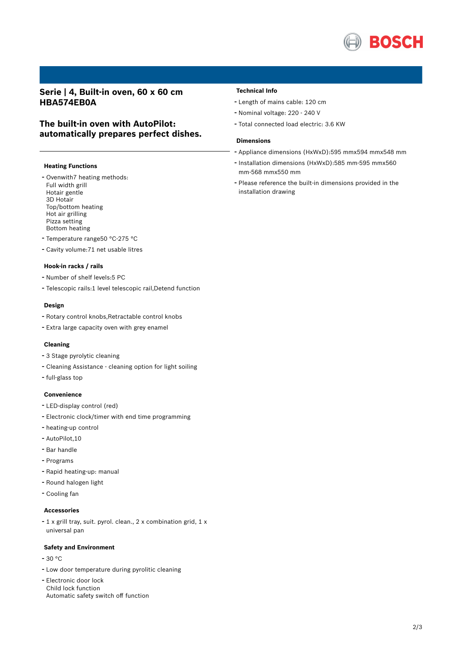

## **Serie | 4, Built-in oven, 60 x 60 cm HBA574EB0A**

# **The built-in oven with AutoPilot: automatically prepares perfect dishes.**

#### **Heating Functions**

- Ovenwith7 heating methods: Full width grill Hotair gentle 3D Hotair Top/bottom heating Hot air grilling Pizza setting Bottom heating
- Temperature range50 °C-275 °C
- Cavity volume:71 net usable litres

#### **Hook-in racks / rails**

- Number of shelf levels:5 PC
- Telescopic rails:1 level telescopic rail,Detend function

#### **Design**

- Rotary control knobs,Retractable control knobs
- Extra large capacity oven with grey enamel

## **Cleaning**

- <sup>3</sup> Stage pyrolytic cleaning
- Cleaning Assistance cleaning option for light soiling
- full-glass top

#### **Convenience**

- LED-display control (red)
- Electronic clock/timer with end time programming
- heating-up control
- AutoPilot,10
- Bar handle
- Programs
- Rapid heating-up: manual
- Round halogen light
- Cooling fan

#### **Accessories**

- <sup>1</sup> <sup>x</sup> grill tray, suit. pyrol. clean., <sup>2</sup> <sup>x</sup> combination grid, <sup>1</sup> <sup>x</sup> universal pan

#### **Safety and Environment**

- $-30 °C$
- Low door temperature during pyrolitic cleaning
- Electronic door lock Child lock function Automatic safety switch off function

#### **Technical Info**

- Length of mains cable: <sup>120</sup> cm
- Nominal voltage: <sup>220</sup> <sup>240</sup> <sup>V</sup>
- Total connected load electric: 3.6 KW

#### **Dimensions**

- Appliance dimensions (HxWxD):595 mmx594 mmx548 mm
- Installation dimensions (HxWxD):585 mm-595 mmx560 mm-568 mmx550 mm
- Please reference the built-in dimensions provided in the installation drawing